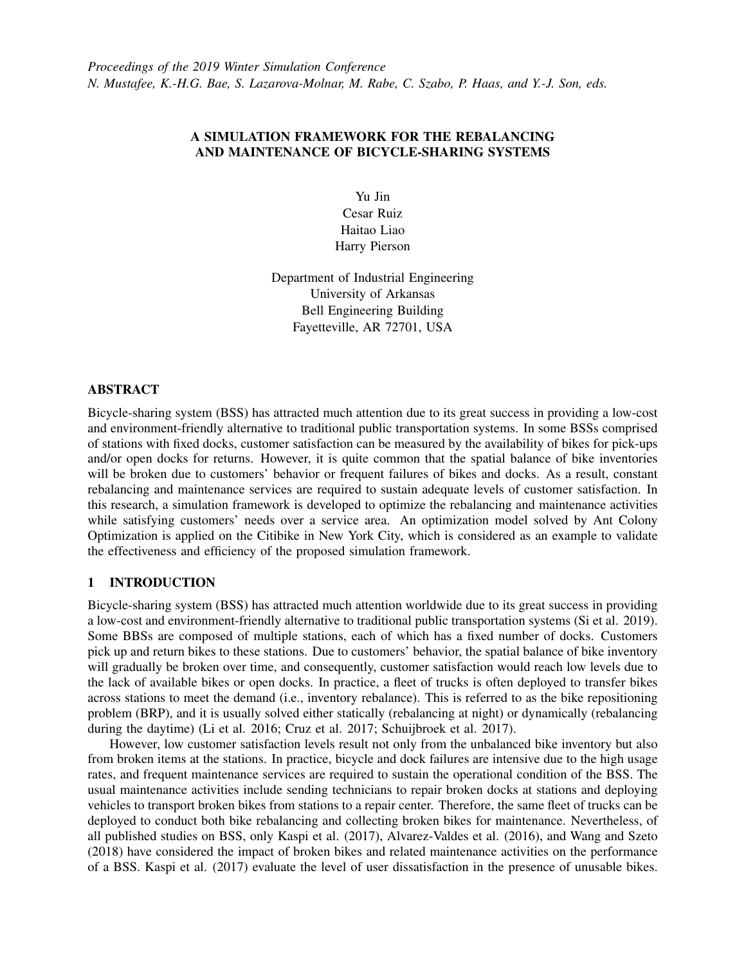# A SIMULATION FRAMEWORK FOR THE REBALANCING AND MAINTENANCE OF BICYCLE-SHARING SYSTEMS

Yu Jin Cesar Ruiz Haitao Liao Harry Pierson

Department of Industrial Engineering University of Arkansas Bell Engineering Building Fayetteville, AR 72701, USA

# ABSTRACT

Bicycle-sharing system (BSS) has attracted much attention due to its great success in providing a low-cost and environment-friendly alternative to traditional public transportation systems. In some BSSs comprised of stations with fixed docks, customer satisfaction can be measured by the availability of bikes for pick-ups and/or open docks for returns. However, it is quite common that the spatial balance of bike inventories will be broken due to customers' behavior or frequent failures of bikes and docks. As a result, constant rebalancing and maintenance services are required to sustain adequate levels of customer satisfaction. In this research, a simulation framework is developed to optimize the rebalancing and maintenance activities while satisfying customers' needs over a service area. An optimization model solved by Ant Colony Optimization is applied on the Citibike in New York City, which is considered as an example to validate the effectiveness and efficiency of the proposed simulation framework.

# 1 INTRODUCTION

Bicycle-sharing system (BSS) has attracted much attention worldwide due to its great success in providing a low-cost and environment-friendly alternative to traditional public transportation systems [\(Si et al. 2019\)](#page-9-0). Some BBSs are composed of multiple stations, each of which has a fixed number of docks. Customers pick up and return bikes to these stations. Due to customers' behavior, the spatial balance of bike inventory will gradually be broken over time, and consequently, customer satisfaction would reach low levels due to the lack of available bikes or open docks. In practice, a fleet of trucks is often deployed to transfer bikes across stations to meet the demand (i.e., inventory rebalance). This is referred to as the bike repositioning problem (BRP), and it is usually solved either statically (rebalancing at night) or dynamically (rebalancing during the daytime) [\(Li et al. 2016;](#page-9-1) [Cruz et al. 2017;](#page-9-2) [Schuijbroek et al. 2017\)](#page-9-3).

However, low customer satisfaction levels result not only from the unbalanced bike inventory but also from broken items at the stations. In practice, bicycle and dock failures are intensive due to the high usage rates, and frequent maintenance services are required to sustain the operational condition of the BSS. The usual maintenance activities include sending technicians to repair broken docks at stations and deploying vehicles to transport broken bikes from stations to a repair center. Therefore, the same fleet of trucks can be deployed to conduct both bike rebalancing and collecting broken bikes for maintenance. Nevertheless, of all published studies on BSS, only [Kaspi et al. \(2017\),](#page-9-4) [Alvarez-Valdes et al. \(2016\),](#page-9-5) and [Wang and Szeto](#page-9-6) [\(2018\)](#page-9-6) have considered the impact of broken bikes and related maintenance activities on the performance of a BSS. [Kaspi et al. \(2017\)](#page-9-4) evaluate the level of user dissatisfaction in the presence of unusable bikes.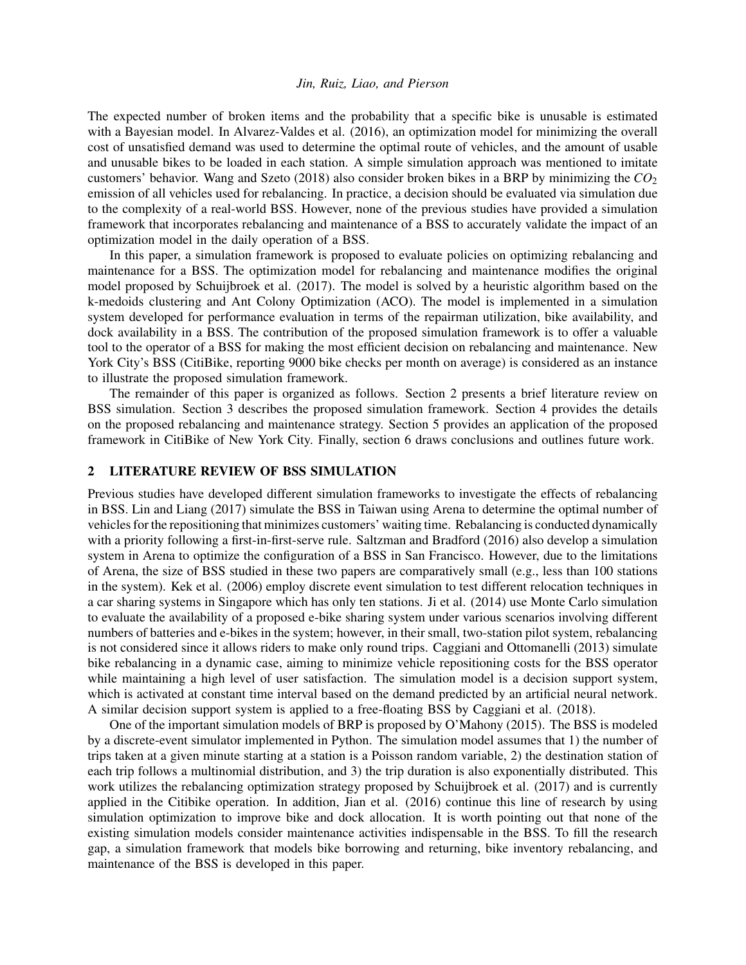The expected number of broken items and the probability that a specific bike is unusable is estimated with a Bayesian model. In [Alvarez-Valdes et al. \(2016\),](#page-9-5) an optimization model for minimizing the overall cost of unsatisfied demand was used to determine the optimal route of vehicles, and the amount of usable and unusable bikes to be loaded in each station. A simple simulation approach was mentioned to imitate customers' behavior. [Wang and Szeto \(2018\)](#page-9-6) also consider broken bikes in a BRP by minimizing the *CO*<sup>2</sup> emission of all vehicles used for rebalancing. In practice, a decision should be evaluated via simulation due to the complexity of a real-world BSS. However, none of the previous studies have provided a simulation framework that incorporates rebalancing and maintenance of a BSS to accurately validate the impact of an optimization model in the daily operation of a BSS.

In this paper, a simulation framework is proposed to evaluate policies on optimizing rebalancing and maintenance for a BSS. The optimization model for rebalancing and maintenance modifies the original model proposed by [Schuijbroek et al. \(2017\).](#page-9-3) The model is solved by a heuristic algorithm based on the k-medoids clustering and Ant Colony Optimization (ACO). The model is implemented in a simulation system developed for performance evaluation in terms of the repairman utilization, bike availability, and dock availability in a BSS. The contribution of the proposed simulation framework is to offer a valuable tool to the operator of a BSS for making the most efficient decision on rebalancing and maintenance. New York City's BSS (CitiBike, reporting 9000 bike checks per month on average) is considered as an instance to illustrate the proposed simulation framework.

The remainder of this paper is organized as follows. Section [2](#page-1-0) presents a brief literature review on BSS simulation. Section [3](#page-2-0) describes the proposed simulation framework. Section [4](#page-3-0) provides the details on the proposed rebalancing and maintenance strategy. Section [5](#page-5-0) provides an application of the proposed framework in CitiBike of New York City. Finally, section [6](#page-8-0) draws conclusions and outlines future work.

# <span id="page-1-0"></span>2 LITERATURE REVIEW OF BSS SIMULATION

Previous studies have developed different simulation frameworks to investigate the effects of rebalancing in BSS. [Lin and Liang \(2017\)](#page-9-7) simulate the BSS in Taiwan using Arena to determine the optimal number of vehicles for the repositioning that minimizes customers' waiting time. Rebalancing is conducted dynamically with a priority following a first-in-first-serve rule. [Saltzman and Bradford \(2016\)](#page-9-8) also develop a simulation system in Arena to optimize the configuration of a BSS in San Francisco. However, due to the limitations of Arena, the size of BSS studied in these two papers are comparatively small (e.g., less than 100 stations in the system). [Kek et al. \(2006\)](#page-9-9) employ discrete event simulation to test different relocation techniques in a car sharing systems in Singapore which has only ten stations. [Ji et al. \(2014\)](#page-9-10) use Monte Carlo simulation to evaluate the availability of a proposed e-bike sharing system under various scenarios involving different numbers of batteries and e-bikes in the system; however, in their small, two-station pilot system, rebalancing is not considered since it allows riders to make only round trips. [Caggiani and Ottomanelli \(2013\)](#page-9-11) simulate bike rebalancing in a dynamic case, aiming to minimize vehicle repositioning costs for the BSS operator while maintaining a high level of user satisfaction. The simulation model is a decision support system, which is activated at constant time interval based on the demand predicted by an artificial neural network. A similar decision support system is applied to a free-floating BSS by [Caggiani et al. \(2018\).](#page-9-12)

One of the important simulation models of BRP is proposed by [O'Mahony \(2015\).](#page-9-13) The BSS is modeled by a discrete-event simulator implemented in Python. The simulation model assumes that 1) the number of trips taken at a given minute starting at a station is a Poisson random variable, 2) the destination station of each trip follows a multinomial distribution, and 3) the trip duration is also exponentially distributed. This work utilizes the rebalancing optimization strategy proposed by [Schuijbroek et al. \(2017\)](#page-9-3) and is currently applied in the Citibike operation. In addition, [Jian et al. \(2016\)](#page-9-14) continue this line of research by using simulation optimization to improve bike and dock allocation. It is worth pointing out that none of the existing simulation models consider maintenance activities indispensable in the BSS. To fill the research gap, a simulation framework that models bike borrowing and returning, bike inventory rebalancing, and maintenance of the BSS is developed in this paper.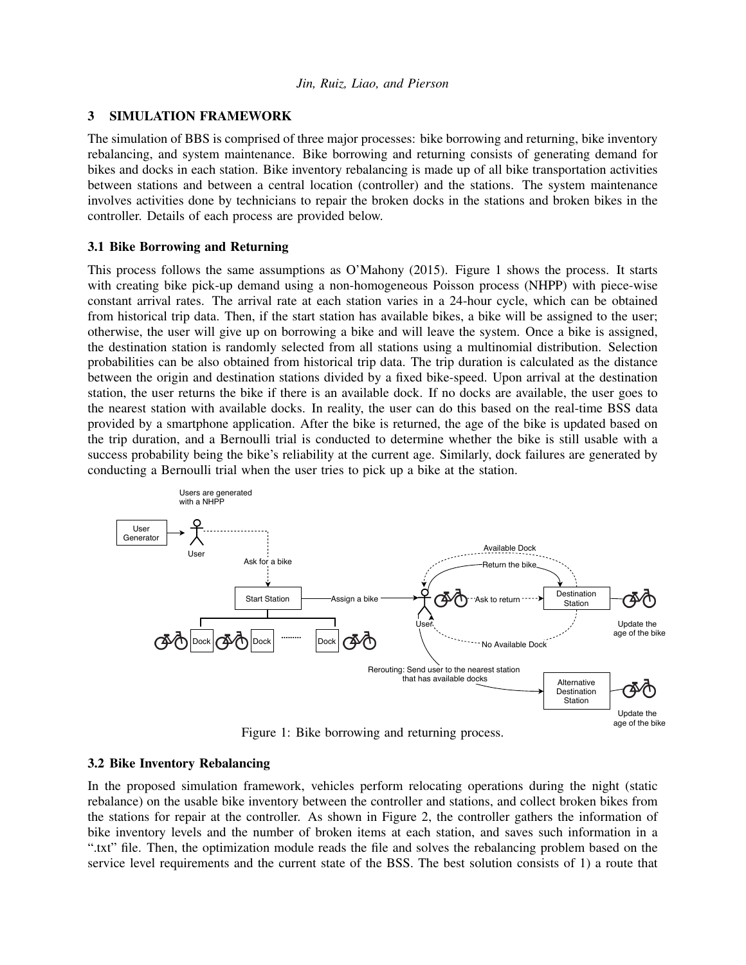## <span id="page-2-0"></span>3 SIMULATION FRAMEWORK

The simulation of BBS is comprised of three major processes: bike borrowing and returning, bike inventory rebalancing, and system maintenance. Bike borrowing and returning consists of generating demand for bikes and docks in each station. Bike inventory rebalancing is made up of all bike transportation activities between stations and between a central location (controller) and the stations. The system maintenance involves activities done by technicians to repair the broken docks in the stations and broken bikes in the controller. Details of each process are provided below.

## 3.1 Bike Borrowing and Returning

This process follows the same assumptions as [O'Mahony \(2015\).](#page-9-13) Figure [1](#page-2-1) shows the process. It starts with creating bike pick-up demand using a non-homogeneous Poisson process (NHPP) with piece-wise constant arrival rates. The arrival rate at each station varies in a 24-hour cycle, which can be obtained from historical trip data. Then, if the start station has available bikes, a bike will be assigned to the user; otherwise, the user will give up on borrowing a bike and will leave the system. Once a bike is assigned, the destination station is randomly selected from all stations using a multinomial distribution. Selection probabilities can be also obtained from historical trip data. The trip duration is calculated as the distance between the origin and destination stations divided by a fixed bike-speed. Upon arrival at the destination station, the user returns the bike if there is an available dock. If no docks are available, the user goes to the nearest station with available docks. In reality, the user can do this based on the real-time BSS data provided by a smartphone application. After the bike is returned, the age of the bike is updated based on the trip duration, and a Bernoulli trial is conducted to determine whether the bike is still usable with a success probability being the bike's reliability at the current age. Similarly, dock failures are generated by conducting a Bernoulli trial when the user tries to pick up a bike at the station.

<span id="page-2-1"></span>

Figure 1: Bike borrowing and returning process.

## 3.2 Bike Inventory Rebalancing

In the proposed simulation framework, vehicles perform relocating operations during the night (static rebalance) on the usable bike inventory between the controller and stations, and collect broken bikes from the stations for repair at the controller. As shown in Figure [2,](#page-3-1) the controller gathers the information of bike inventory levels and the number of broken items at each station, and saves such information in a ".txt" file. Then, the optimization module reads the file and solves the rebalancing problem based on the service level requirements and the current state of the BSS. The best solution consists of 1) a route that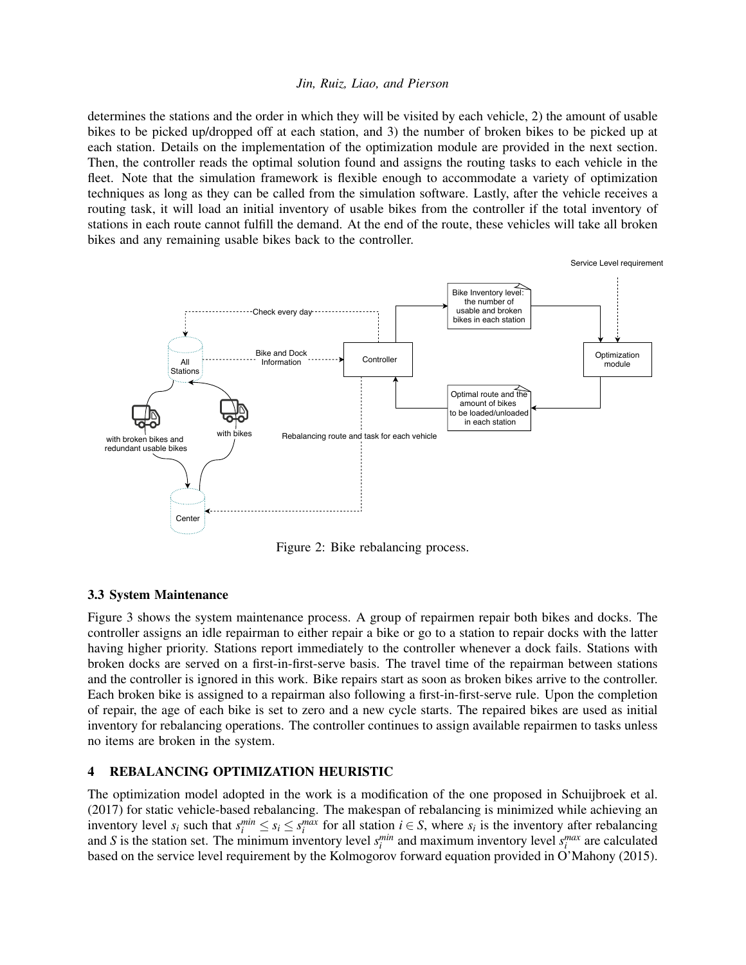determines the stations and the order in which they will be visited by each vehicle, 2) the amount of usable bikes to be picked up/dropped off at each station, and 3) the number of broken bikes to be picked up at each station. Details on the implementation of the optimization module are provided in the next section. Then, the controller reads the optimal solution found and assigns the routing tasks to each vehicle in the fleet. Note that the simulation framework is flexible enough to accommodate a variety of optimization techniques as long as they can be called from the simulation software. Lastly, after the vehicle receives a routing task, it will load an initial inventory of usable bikes from the controller if the total inventory of stations in each route cannot fulfill the demand. At the end of the route, these vehicles will take all broken bikes and any remaining usable bikes back to the controller.

Service Level requirement

<span id="page-3-1"></span>

Figure 2: Bike rebalancing process.

## 3.3 System Maintenance

Figure [3](#page-4-0) shows the system maintenance process. A group of repairmen repair both bikes and docks. The controller assigns an idle repairman to either repair a bike or go to a station to repair docks with the latter having higher priority. Stations report immediately to the controller whenever a dock fails. Stations with broken docks are served on a first-in-first-serve basis. The travel time of the repairman between stations and the controller is ignored in this work. Bike repairs start as soon as broken bikes arrive to the controller. Each broken bike is assigned to a repairman also following a first-in-first-serve rule. Upon the completion of repair, the age of each bike is set to zero and a new cycle starts. The repaired bikes are used as initial inventory for rebalancing operations. The controller continues to assign available repairmen to tasks unless no items are broken in the system.

## <span id="page-3-0"></span>4 REBALANCING OPTIMIZATION HEURISTIC

The optimization model adopted in the work is a modification of the one proposed in [Schuijbroek et al.](#page-9-3) [\(2017\)](#page-9-3) for static vehicle-based rebalancing. The makespan of rebalancing is minimized while achieving an inventory level  $s_i$  such that  $s_i^{min} \le s_i \le s_i^{max}$  for all station  $i \in S$ , where  $s_i$  is the inventory after rebalancing and *S* is the station set. The minimum inventory level  $s_i^{min}$  and maximum inventory level  $s_i^{max}$  are calculated based on the service level requirement by the Kolmogorov forward equation provided in [O'Mahony \(2015\).](#page-9-13)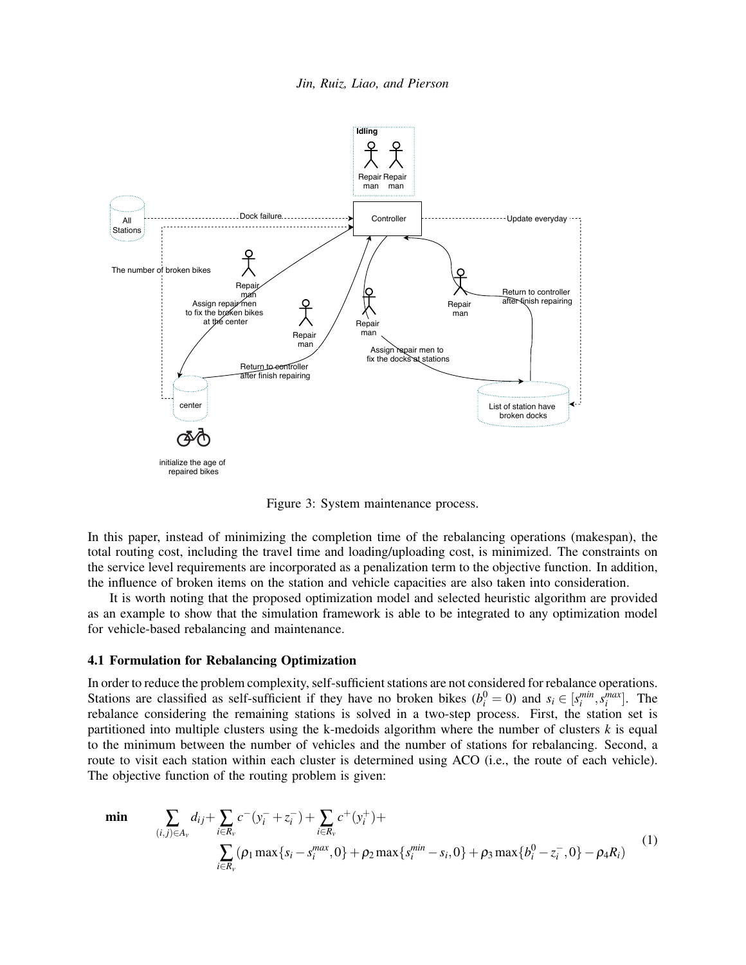<span id="page-4-0"></span>

Figure 3: System maintenance process.

In this paper, instead of minimizing the completion time of the rebalancing operations (makespan), the total routing cost, including the travel time and loading/uploading cost, is minimized. The constraints on the service level requirements are incorporated as a penalization term to the objective function. In addition, the influence of broken items on the station and vehicle capacities are also taken into consideration.

It is worth noting that the proposed optimization model and selected heuristic algorithm are provided as an example to show that the simulation framework is able to be integrated to any optimization model for vehicle-based rebalancing and maintenance.

### 4.1 Formulation for Rebalancing Optimization

In order to reduce the problem complexity, self-sufficient stations are not considered for rebalance operations. Stations are classified as self-sufficient if they have no broken bikes  $(b_i^0 = 0)$  and  $s_i \in [s_i^{min}, s_i^{max}]$ . The rebalance considering the remaining stations is solved in a two-step process. First, the station set is partitioned into multiple clusters using the k-medoids algorithm where the number of clusters *k* is equal to the minimum between the number of vehicles and the number of stations for rebalancing. Second, a route to visit each station within each cluster is determined using ACO (i.e., the route of each vehicle). The objective function of the routing problem is given:

<span id="page-4-1"></span>
$$
\min \qquad \sum_{(i,j)\in A_{\nu}} d_{ij} + \sum_{i\in R_{\nu}} c^{-}(y_{i}^{-} + z_{i}^{-}) + \sum_{i\in R_{\nu}} c^{+}(y_{i}^{+}) + \sum_{i\in R_{\nu}} (\rho_{1} \max\{s_{i} - s_{i}^{max}, 0\} + \rho_{2} \max\{s_{i}^{min} - s_{i}, 0\} + \rho_{3} \max\{b_{i}^{0} - z_{i}^{-}, 0\} - \rho_{4}R_{i})
$$
\n(1)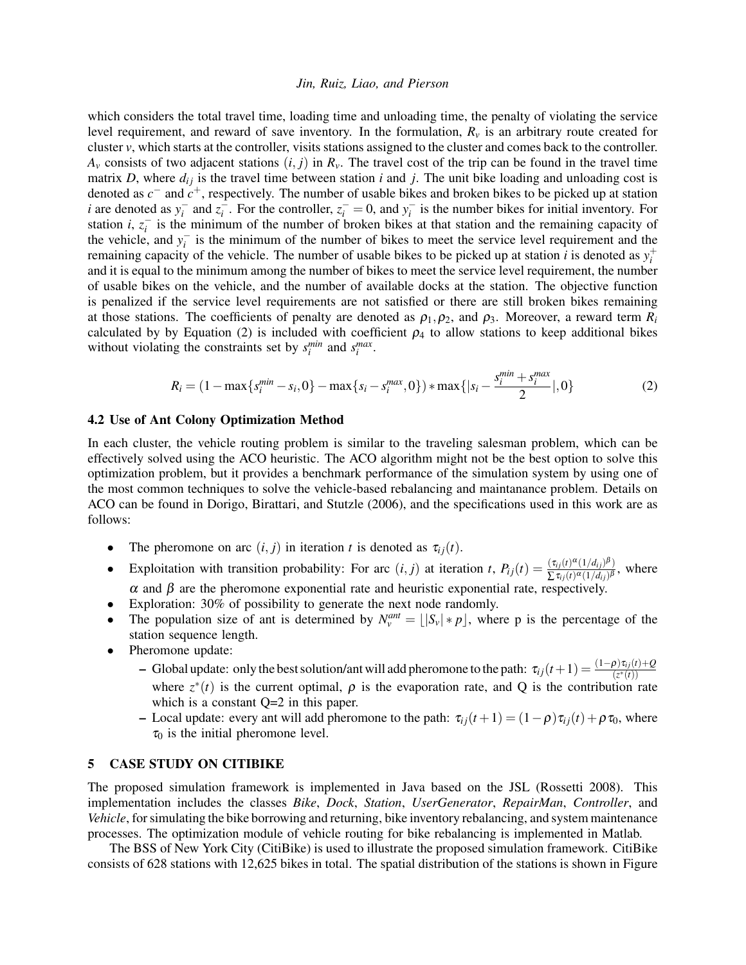which considers the total travel time, loading time and unloading time, the penalty of violating the service level requirement, and reward of save inventory. In the formulation,  $R<sub>v</sub>$  is an arbitrary route created for cluster *v*, which starts at the controller, visits stations assigned to the cluster and comes back to the controller.  $A_v$  consists of two adjacent stations  $(i, j)$  in  $R_v$ . The travel cost of the trip can be found in the travel time matrix *D*, where  $d_{ij}$  is the travel time between station *i* and *j*. The unit bike loading and unloading cost is denoted as *c* <sup>−</sup> and *c* <sup>+</sup>, respectively. The number of usable bikes and broken bikes to be picked up at station *i* are denoted as  $y_i^-$  and  $z_i^-$ . For the controller,  $z_i^- = 0$ , and  $y_i^-$  is the number bikes for initial inventory. For station *i*,  $z_i^-$  is the minimum of the number of broken bikes at that station and the remaining capacity of the vehicle, and  $y_i^-$  is the minimum of the number of bikes to meet the service level requirement and the remaining capacity of the vehicle. The number of usable bikes to be picked up at station  $i$  is denoted as  $y_i^+$ and it is equal to the minimum among the number of bikes to meet the service level requirement, the number of usable bikes on the vehicle, and the number of available docks at the station. The objective function is penalized if the service level requirements are not satisfied or there are still broken bikes remaining at those stations. The coefficients of penalty are denoted as  $\rho_1, \rho_2$ , and  $\rho_3$ . Moreover, a reward term  $R_i$ calculated by by Equation [\(2\)](#page-5-1) is included with coefficient  $\rho_4$  to allow stations to keep additional bikes without violating the constraints set by  $s_i^{min}$  and  $s_i^{max}$ .

<span id="page-5-1"></span>
$$
R_i = (1 - \max\{s_i^{min} - s_i, 0\} - \max\{s_i - s_i^{max}, 0\}) * \max\{|s_i - \frac{s_i^{min} + s_i^{max}}{2}|, 0\}
$$
(2)

## 4.2 Use of Ant Colony Optimization Method

In each cluster, the vehicle routing problem is similar to the traveling salesman problem, which can be effectively solved using the ACO heuristic. The ACO algorithm might not be the best option to solve this optimization problem, but it provides a benchmark performance of the simulation system by using one of the most common techniques to solve the vehicle-based rebalancing and maintanance problem. Details on ACO can be found in [Dorigo, Birattari, and Stutzle \(2006\),](#page-9-15) and the specifications used in this work are as follows:

- The pheromone on arc  $(i, j)$  in iteration *t* is denoted as  $\tau_{ij}(t)$ .
- Exploitation with transition probability: For arc  $(i, j)$  at iteration *t*,  $P_{ij}(t) = \frac{(\tau_{ij}(t)^{\alpha}(1/d_{ij})^{\beta})}{\sum_{k} \tau_{ij}(\alpha(1/d_{ij})^{\beta})}$  $\frac{\sum \tau_{ij}(t) - (1/a_{ij})^{\gamma}}{\sum \tau_{ij}(t)^\alpha (1/d_{ij})^\beta}$ , where  $\alpha$  and  $\beta$  are the pheromone exponential rate and heuristic exponential rate, respectively.
- Exploration: 30% of possibility to generate the next node randomly.
- The population size of ant is determined by  $N_v^{ant} = \lfloor |S_v| * p \rfloor$ , where p is the percentage of the station sequence length.
- Pheromone update:
	- Global update: only the best solution/ant will add pheromone to the path:  $τ_{ij}(t+1) = \frac{(1-\rho)τ_{ij}(t)+Q}{(z^*(t))}$ where  $z^*(t)$  is the current optimal,  $\rho$  is the evaporation rate, and Q is the contribution rate which is a constant Q=2 in this paper.
	- Local update: every ant will add pheromone to the path:  $\tau_{ij}(t+1) = (1-\rho)\tau_{ij}(t) + \rho\tau_0$ , where  $\tau_0$  is the initial pheromone level.

# <span id="page-5-0"></span>5 CASE STUDY ON CITIBIKE

The proposed simulation framework is implemented in Java based on the JSL [\(Rossetti 2008\)](#page-9-16). This implementation includes the classes *Bike*, *Dock*, *Station*, *UserGenerator*, *RepairMan*, *Controller*, and *Vehicle*, for simulating the bike borrowing and returning, bike inventory rebalancing, and system maintenance processes. The optimization module of vehicle routing for bike rebalancing is implemented in Matlab.

The BSS of New York City (CitiBike) is used to illustrate the proposed simulation framework. CitiBike consists of 628 stations with 12,625 bikes in total. The spatial distribution of the stations is shown in Figure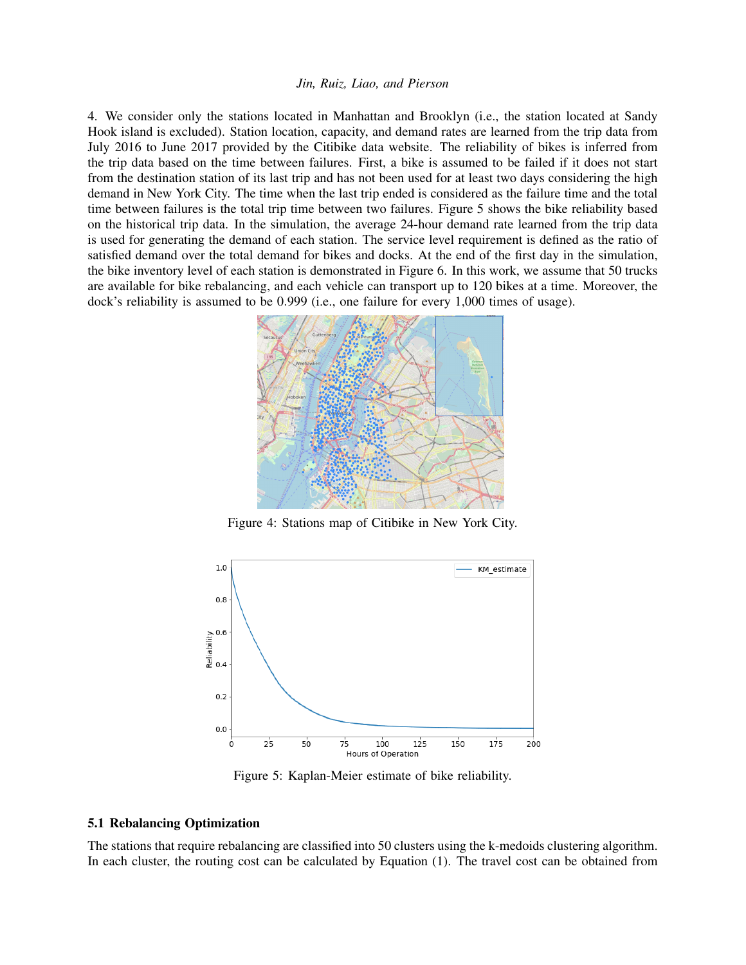[4.](#page-6-0) We consider only the stations located in Manhattan and Brooklyn (i.e., the station located at Sandy Hook island is excluded). Station location, capacity, and demand rates are learned from the trip data from July 2016 to June 2017 provided by the Citibike data website. The reliability of bikes is inferred from the trip data based on the time between failures. First, a bike is assumed to be failed if it does not start from the destination station of its last trip and has not been used for at least two days considering the high demand in New York City. The time when the last trip ended is considered as the failure time and the total time between failures is the total trip time between two failures. Figure [5](#page-6-1) shows the bike reliability based on the historical trip data. In the simulation, the average 24-hour demand rate learned from the trip data is used for generating the demand of each station. The service level requirement is defined as the ratio of satisfied demand over the total demand for bikes and docks. At the end of the first day in the simulation, the bike inventory level of each station is demonstrated in Figure [6.](#page-7-0) In this work, we assume that 50 trucks are available for bike rebalancing, and each vehicle can transport up to 120 bikes at a time. Moreover, the dock's reliability is assumed to be 0.999 (i.e., one failure for every 1,000 times of usage).

<span id="page-6-0"></span>

Figure 4: Stations map of Citibike in New York City.

<span id="page-6-1"></span>

Figure 5: Kaplan-Meier estimate of bike reliability.

## 5.1 Rebalancing Optimization

The stations that require rebalancing are classified into 50 clusters using the k-medoids clustering algorithm. In each cluster, the routing cost can be calculated by Equation [\(1\)](#page-4-1). The travel cost can be obtained from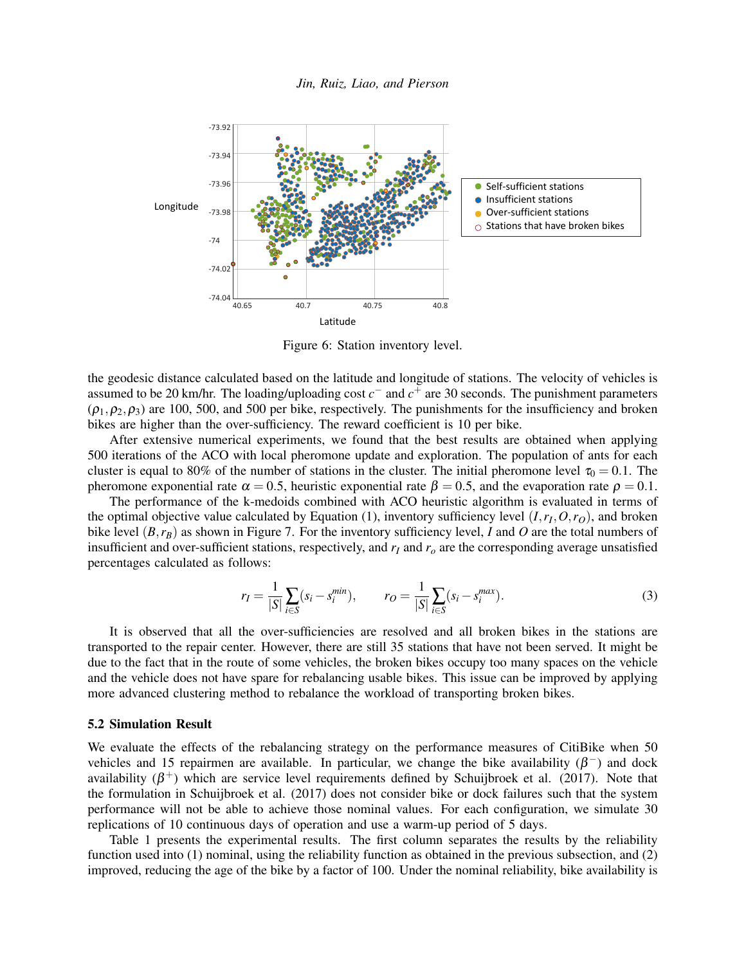<span id="page-7-0"></span>

Figure 6: Station inventory level.

the geodesic distance calculated based on the latitude and longitude of stations. The velocity of vehicles is assumed to be 20 km/hr. The loading/uploading cost  $c^-$  and  $c^+$  are 30 seconds. The punishment parameters  $(\rho_1, \rho_2, \rho_3)$  are 100, 500, and 500 per bike, respectively. The punishments for the insufficiency and broken bikes are higher than the over-sufficiency. The reward coefficient is 10 per bike.

After extensive numerical experiments, we found that the best results are obtained when applying 500 iterations of the ACO with local pheromone update and exploration. The population of ants for each cluster is equal to 80% of the number of stations in the cluster. The initial pheromone level  $\tau_0 = 0.1$ . The pheromone exponential rate  $\alpha = 0.5$ , heuristic exponential rate  $\beta = 0.5$ , and the evaporation rate  $\rho = 0.1$ .

The performance of the k-medoids combined with ACO heuristic algorithm is evaluated in terms of the optimal objective value calculated by Equation [\(1\)](#page-4-1), inventory sufficiency level  $(I, r_I, O, r_O)$ , and broken bike level  $(B, r_B)$  as shown in Figure [7.](#page-8-1) For the inventory sufficiency level, *I* and *O* are the total numbers of insufficient and over-sufficient stations, respectively, and *r<sup>I</sup>* and *r<sup>o</sup>* are the corresponding average unsatisfied percentages calculated as follows:

$$
r_I = \frac{1}{|S|} \sum_{i \in S} (s_i - s_i^{min}), \qquad r_O = \frac{1}{|S|} \sum_{i \in S} (s_i - s_i^{max}).
$$
 (3)

It is observed that all the over-sufficiencies are resolved and all broken bikes in the stations are transported to the repair center. However, there are still 35 stations that have not been served. It might be due to the fact that in the route of some vehicles, the broken bikes occupy too many spaces on the vehicle and the vehicle does not have spare for rebalancing usable bikes. This issue can be improved by applying more advanced clustering method to rebalance the workload of transporting broken bikes.

## 5.2 Simulation Result

We evaluate the effects of the rebalancing strategy on the performance measures of CitiBike when 50 vehicles and 15 repairmen are available. In particular, we change the bike availability  $(\beta^-)$  and dock availability  $(\beta^+)$  which are service level requirements defined by [Schuijbroek et al. \(2017\).](#page-9-3) Note that the formulation in [Schuijbroek et al. \(2017\)](#page-9-3) does not consider bike or dock failures such that the system performance will not be able to achieve those nominal values. For each configuration, we simulate 30 replications of 10 continuous days of operation and use a warm-up period of 5 days.

Table [1](#page-8-2) presents the experimental results. The first column separates the results by the reliability function used into (1) nominal, using the reliability function as obtained in the previous subsection, and (2) improved, reducing the age of the bike by a factor of 100. Under the nominal reliability, bike availability is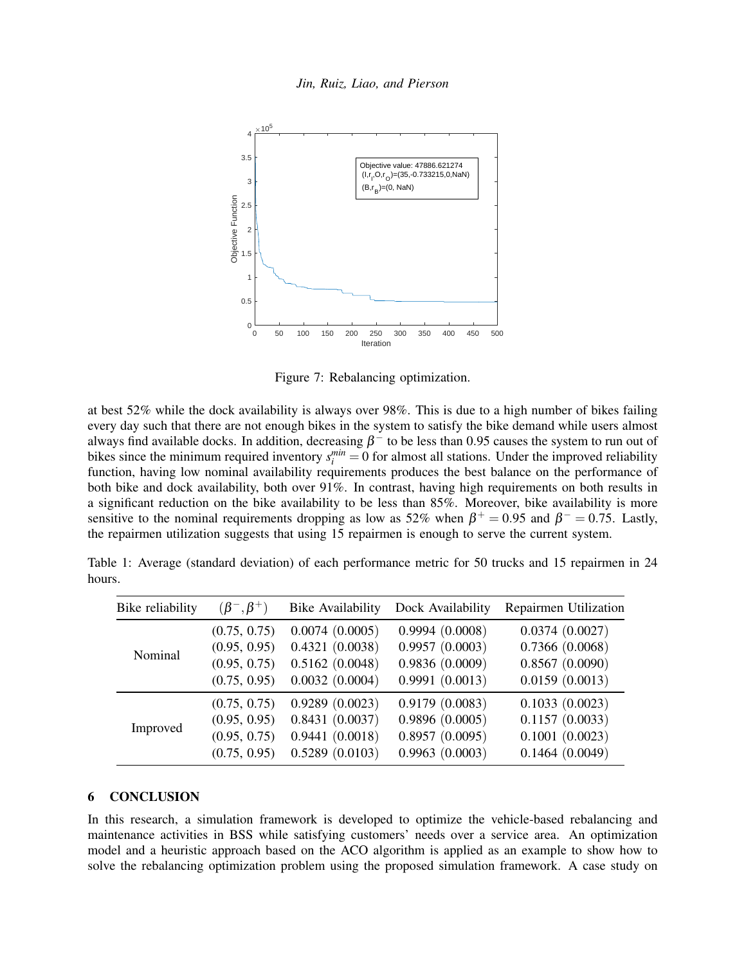<span id="page-8-1"></span>

Figure 7: Rebalancing optimization.

at best 52% while the dock availability is always over 98%. This is due to a high number of bikes failing every day such that there are not enough bikes in the system to satisfy the bike demand while users almost always find available docks. In addition, decreasing  $\beta^-$  to be less than 0.95 causes the system to run out of bikes since the minimum required inventory  $s_i^{min} = 0$  for almost all stations. Under the improved reliability function, having low nominal availability requirements produces the best balance on the performance of both bike and dock availability, both over 91%. In contrast, having high requirements on both results in a significant reduction on the bike availability to be less than 85%. Moreover, bike availability is more sensitive to the nominal requirements dropping as low as 52% when  $\beta^+ = 0.95$  and  $\beta^- = 0.75$ . Lastly, the repairmen utilization suggests that using 15 repairmen is enough to serve the current system.

<span id="page-8-2"></span>

|        |  |  |  |  |  | $\mathbf{D}_{\text{obs}}$ and algebras $\mathbf{D} = \mathbf{D} + \mathbf{D}$ and $\mathbf{D}_{\text{obs}}$ and $\mathbf{D}_{\text{obs}}$ and $\mathbf{D}_{\text{obs}}$ and $\mathbf{D}_{\text{obs}}$ and $\mathbf{D}_{\text{obs}}$ and $\mathbf{D}_{\text{obs}}$ and $\mathbf{D}_{\text{obs}}$ and $\mathbf{D}_{\text{obs}}$ and $\mathbf{D}_{\text{obs}}$ and $\mathbf{$ |  |
|--------|--|--|--|--|--|----------------------------------------------------------------------------------------------------------------------------------------------------------------------------------------------------------------------------------------------------------------------------------------------------------------------------------------------------------------------------|--|
| hours. |  |  |  |  |  |                                                                                                                                                                                                                                                                                                                                                                            |  |
|        |  |  |  |  |  | Table 1: Average (standard deviation) of each performance metric for 50 trucks and 15 repairmen in 24                                                                                                                                                                                                                                                                      |  |

| Bike reliability | $(\beta^-,\beta^+)$ | Bike Availability | Dock Availability | Repairmen Utilization |
|------------------|---------------------|-------------------|-------------------|-----------------------|
|                  | (0.75, 0.75)        | 0.0074(0.0005)    | 0.9994(0.0008)    | 0.0374(0.0027)        |
| Nominal          | (0.95, 0.95)        | 0.4321(0.0038)    | 0.9957(0.0003)    | 0.7366(0.0068)        |
|                  | (0.95, 0.75)        | 0.5162(0.0048)    | 0.9836(0.0009)    | 0.8567(0.0090)        |
|                  | (0.75, 0.95)        | 0.0032(0.0004)    | 0.9991(0.0013)    | 0.0159(0.0013)        |
|                  | (0.75, 0.75)        | 0.9289(0.0023)    | 0.9179(0.0083)    | 0.1033(0.0023)        |
| Improved         | (0.95, 0.95)        | 0.8431(0.0037)    | 0.9896(0.0005)    | 0.1157(0.0033)        |
|                  | (0.95, 0.75)        | 0.9441(0.0018)    | 0.8957(0.0095)    | 0.1001(0.0023)        |
|                  | (0.75, 0.95)        | 0.5289(0.0103)    | 0.9963(0.0003)    | 0.1464(0.0049)        |

## <span id="page-8-0"></span>6 CONCLUSION

In this research, a simulation framework is developed to optimize the vehicle-based rebalancing and maintenance activities in BSS while satisfying customers' needs over a service area. An optimization model and a heuristic approach based on the ACO algorithm is applied as an example to show how to solve the rebalancing optimization problem using the proposed simulation framework. A case study on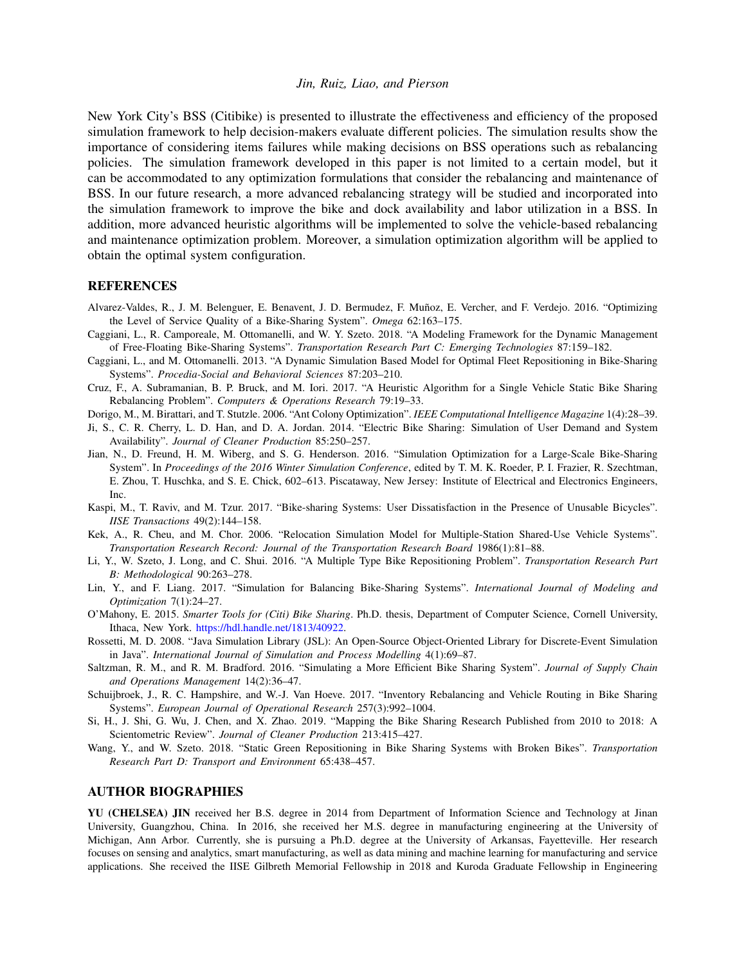New York City's BSS (Citibike) is presented to illustrate the effectiveness and efficiency of the proposed simulation framework to help decision-makers evaluate different policies. The simulation results show the importance of considering items failures while making decisions on BSS operations such as rebalancing policies. The simulation framework developed in this paper is not limited to a certain model, but it can be accommodated to any optimization formulations that consider the rebalancing and maintenance of BSS. In our future research, a more advanced rebalancing strategy will be studied and incorporated into the simulation framework to improve the bike and dock availability and labor utilization in a BSS. In addition, more advanced heuristic algorithms will be implemented to solve the vehicle-based rebalancing and maintenance optimization problem. Moreover, a simulation optimization algorithm will be applied to obtain the optimal system configuration.

#### REFERENCES

- <span id="page-9-5"></span>Alvarez-Valdes, R., J. M. Belenguer, E. Benavent, J. D. Bermudez, F. Muñoz, E. Vercher, and F. Verdejo. 2016. "Optimizing the Level of Service Quality of a Bike-Sharing System". *Omega* 62:163–175.
- <span id="page-9-12"></span>Caggiani, L., R. Camporeale, M. Ottomanelli, and W. Y. Szeto. 2018. "A Modeling Framework for the Dynamic Management of Free-Floating Bike-Sharing Systems". *Transportation Research Part C: Emerging Technologies* 87:159–182.
- <span id="page-9-11"></span>Caggiani, L., and M. Ottomanelli. 2013. "A Dynamic Simulation Based Model for Optimal Fleet Repositioning in Bike-Sharing Systems". *Procedia-Social and Behavioral Sciences* 87:203–210.
- <span id="page-9-2"></span>Cruz, F., A. Subramanian, B. P. Bruck, and M. Iori. 2017. "A Heuristic Algorithm for a Single Vehicle Static Bike Sharing Rebalancing Problem". *Computers & Operations Research* 79:19–33.
- <span id="page-9-15"></span>Dorigo, M., M. Birattari, and T. Stutzle. 2006. "Ant Colony Optimization". *IEEE Computational Intelligence Magazine* 1(4):28–39.
- <span id="page-9-10"></span>Ji, S., C. R. Cherry, L. D. Han, and D. A. Jordan. 2014. "Electric Bike Sharing: Simulation of User Demand and System Availability". *Journal of Cleaner Production* 85:250–257.
- <span id="page-9-14"></span>Jian, N., D. Freund, H. M. Wiberg, and S. G. Henderson. 2016. "Simulation Optimization for a Large-Scale Bike-Sharing System". In *Proceedings of the 2016 Winter Simulation Conference*, edited by T. M. K. Roeder, P. I. Frazier, R. Szechtman, E. Zhou, T. Huschka, and S. E. Chick, 602–613. Piscataway, New Jersey: Institute of Electrical and Electronics Engineers, Inc.
- <span id="page-9-4"></span>Kaspi, M., T. Raviv, and M. Tzur. 2017. "Bike-sharing Systems: User Dissatisfaction in the Presence of Unusable Bicycles". *IISE Transactions* 49(2):144–158.
- <span id="page-9-9"></span>Kek, A., R. Cheu, and M. Chor. 2006. "Relocation Simulation Model for Multiple-Station Shared-Use Vehicle Systems". *Transportation Research Record: Journal of the Transportation Research Board* 1986(1):81–88.
- <span id="page-9-1"></span>Li, Y., W. Szeto, J. Long, and C. Shui. 2016. "A Multiple Type Bike Repositioning Problem". *Transportation Research Part B: Methodological* 90:263–278.
- <span id="page-9-7"></span>Lin, Y., and F. Liang. 2017. "Simulation for Balancing Bike-Sharing Systems". *International Journal of Modeling and Optimization* 7(1):24–27.
- <span id="page-9-13"></span>O'Mahony, E. 2015. *Smarter Tools for (Citi) Bike Sharing*. Ph.D. thesis, Department of Computer Science, Cornell University, Ithaca, New York. [https://hdl.handle.net/1813/40922.](https://hdl.handle.net/1813/40922)
- <span id="page-9-16"></span>Rossetti, M. D. 2008. "Java Simulation Library (JSL): An Open-Source Object-Oriented Library for Discrete-Event Simulation in Java". *International Journal of Simulation and Process Modelling* 4(1):69–87.
- <span id="page-9-8"></span>Saltzman, R. M., and R. M. Bradford. 2016. "Simulating a More Efficient Bike Sharing System". *Journal of Supply Chain and Operations Management* 14(2):36–47.
- <span id="page-9-3"></span>Schuijbroek, J., R. C. Hampshire, and W.-J. Van Hoeve. 2017. "Inventory Rebalancing and Vehicle Routing in Bike Sharing Systems". *European Journal of Operational Research* 257(3):992–1004.
- <span id="page-9-0"></span>Si, H., J. Shi, G. Wu, J. Chen, and X. Zhao. 2019. "Mapping the Bike Sharing Research Published from 2010 to 2018: A Scientometric Review". *Journal of Cleaner Production* 213:415–427.
- <span id="page-9-6"></span>Wang, Y., and W. Szeto. 2018. "Static Green Repositioning in Bike Sharing Systems with Broken Bikes". *Transportation Research Part D: Transport and Environment* 65:438–457.

### AUTHOR BIOGRAPHIES

YU (CHELSEA) JIN received her B.S. degree in 2014 from Department of Information Science and Technology at Jinan University, Guangzhou, China. In 2016, she received her M.S. degree in manufacturing engineering at the University of Michigan, Ann Arbor. Currently, she is pursuing a Ph.D. degree at the University of Arkansas, Fayetteville. Her research focuses on sensing and analytics, smart manufacturing, as well as data mining and machine learning for manufacturing and service applications. She received the IISE Gilbreth Memorial Fellowship in 2018 and Kuroda Graduate Fellowship in Engineering